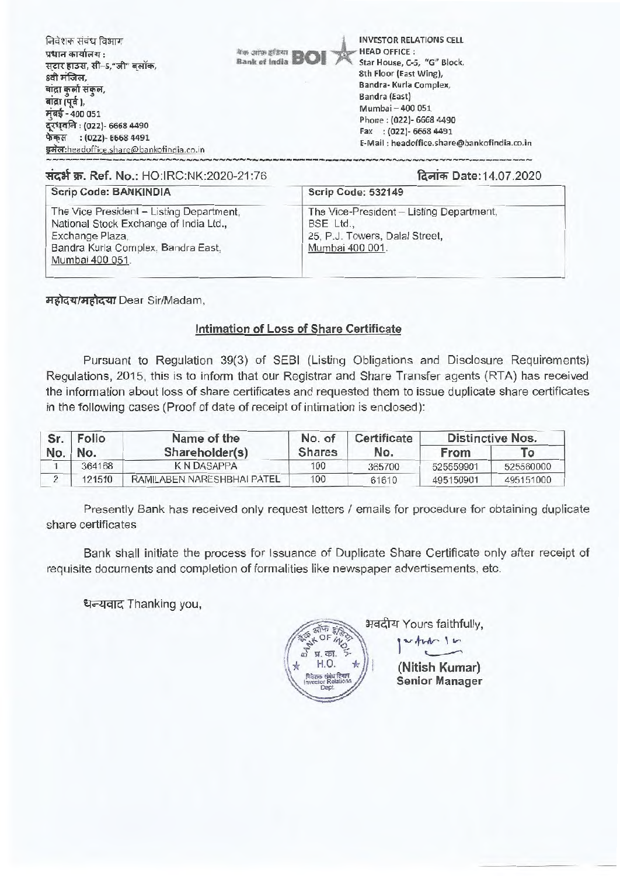निवेशक संबंध विभाग प्रधान कार्यालय $\,$  : सटार हाउस, सी-5,"जी" बलॉक, 8वी मंजिल. बांद्रा कुर्ला संकुल, बांद्रा (पूर्व), **मंबई - 400 051** दरधवनि: (022)- 6668 4490 फेक्स : (022)- 6668 4491 इमेल:headoffice.share@bankofindia.co.in

INVESTOR RELATIONS CELL HEAD OFFICE : Star House, C-5, "G" Block, 8th Floor (East Wing), Bandra- Kurla Complex, Bandra (East) Mumbai — 400 051 Phone : (022)- 6668 4490 Fax : (022)- 6668 4491 E-Mail : headoffice.share@bankofindia.co.in

# Tirat W. Ref. No.: HO:IRC:NK:2020-21:76 f4-4\*Date:14.07.2020

#### **Scrip Code: BANKINDIA**

The Vice President — Listing Department, National Stock Exchange of India Ltd., Exchange Plaza, Bandra Kurla Complex, Bandra East, Mumbai 400 051.

The Vice-President — Listing Department, BSE Ltd., 25, P.J. Towers, Dalal Street, Mumbai 400 001.

महोदय/महोदया Dear Sir/Madam,

### Intimation of Loss of Share Certificate

et<br>Bank of India **BOI** 

Pursuant to Regulation 39(3) of SEBI (Listing Obligations and Disclosure Requirements) Regulations, 2015, this is to inform that our Registrar and Share Transfer agents (RTA) has received the information about loss of share certificates and requested them to issue duplicate share certificates in the following cases (Proof of date of receipt of intimation is enclosed):

| Sr. Folio | Name of the                | No. of        | Certificate | Distinctive Nos. |           |
|-----------|----------------------------|---------------|-------------|------------------|-----------|
| No.   No. | Shareholder(s)             | <b>Shares</b> | No.         | From             | То        |
| 364168    | K N DASAPPA                | 100           | 365700      | 525559901        | 525560000 |
| 121510    | RAMILABEN NARESHBHAI PATEL | 100           | 61610       | 495150901        | 495151000 |

Presently Bank has received only request letters / emails for procedure for obtaining duplicate share certificates

Bank shall initiate the process for Issuance of Duplicate Share Certificate only after receipt of requisite documents and completion of formalities like newspaper advertisements, etc.

धन्यवाद Thanking you,

भवदीय Yours faithfully, **EXAMPLE 1999** when In  $\begin{pmatrix} \frac{1}{2} & \frac{1}{2} & \frac{1}{2} & \frac{1}{2} \\ \frac{1}{2} & \frac{1}{2} & \frac{1}{2} & \frac{1}{2} \\ \frac{1}{2} & \frac{1}{2} & \frac{1}{2} & \frac{1}{2} \end{pmatrix}$ ) **(Nitish Kumar)**  g **Senior Manager** Invesio lations r R gi p e t. p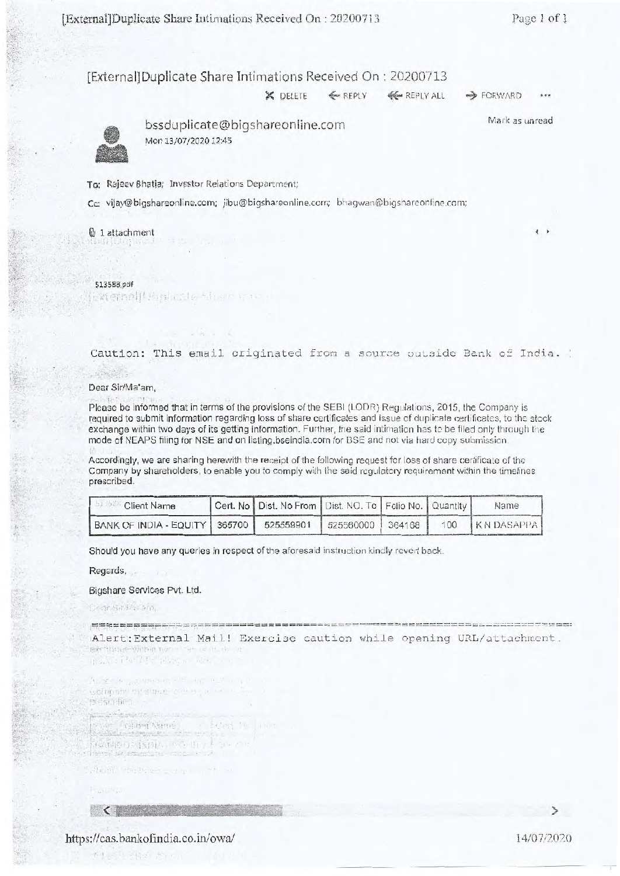Mark as unread

#### [External]Duplicate Share Intimations Received On : 20200713

X DELETE  $\leftarrow$  REPLY  $\leftarrow$  REPLY ALL  $\rightarrow$  FORWARD



bssduplicate@bigshareoniine.com Mon 13/07/2020 12:45

To: Rajeev Bhatia; Investor Relations Department;

Cc: vijay@bigshareonline.com; jibu@bigshareonline.com; bhagwan@bigshareonline.com;

#### <sup>B</sup> 1 attachment

#### 51.3588.pdf

Externell Ministra Share gu

Caution: This email originated from a source outside Bank of India.

#### Dear Sir/Ma'am,

Please be informed that in terms of the provisions of the SEBI (LODR) Regulations, 2015, the Company is required to submit information regarding loss of share certificates and issue of duplicate certificates, to the stock exchange within two days of its getting information. Further, the said intimation has to be filed only through the mode of NEAPS filing for NSE and on listing.bseindia.com for BSE and not via hard copy submission.

Accordingly, we are sharing herewith the receipt of the following request for loss of share certificate of the Company by shareholders, to enable you to comply with the said regulatory requirement within the timelines prescribed.

| <b>Client Name</b>                          | Cert. No   Dist. No From   Dist. NO. To   Folio No.   Quantity |                    |  | Name             |
|---------------------------------------------|----------------------------------------------------------------|--------------------|--|------------------|
| BANK OF INDIA - EQUITY   365700   525559901 |                                                                | 525560000   364168 |  | 100 KN DASAPPA I |

Should you have any queries in respect of the aforesaid instruction kindly revert back.

Regards,

#### Bigshare Services Pvt. Ltd.

Cear Salta Sin

Alert:External Mail! Exercise caution while opening URL/attachment.

TRANSITY (SAPE SERVICE SERVICE

Appendencial you see the sent somony by smatricions, a **Bieschlach Salah Kabupat**<br>Réferènsi Feint in **Postigo Pinini**z County

Sheet the hour = a g = a

 $\langle$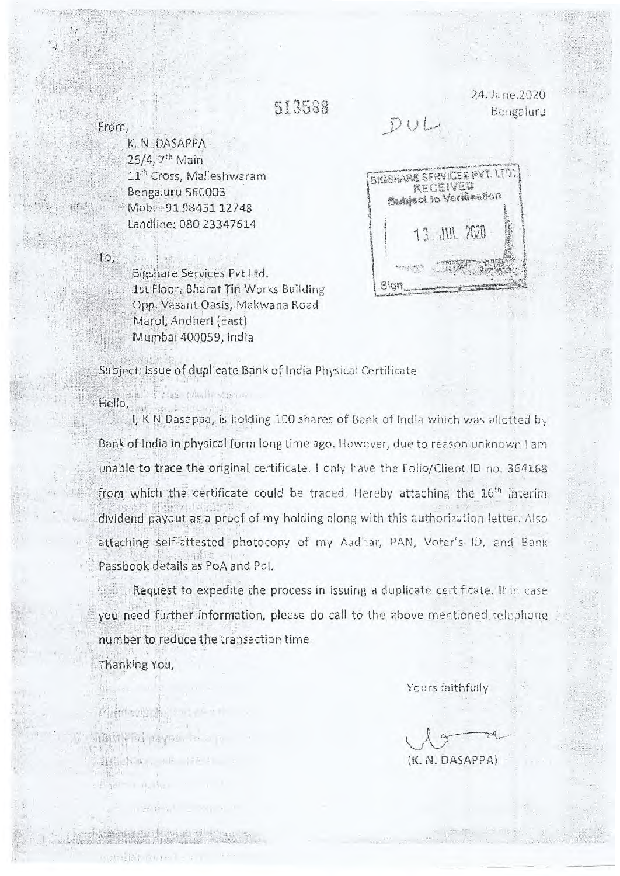## 513589

24..lune.2020 Bengaluru

 $\mathbf{i}$ 

## $DU$

Sign

**RECEIVEG** 

13 JUL 2020

K, N. DASAPPA 25/4, 7th Main 11<sup>th</sup> Cross, Malleshwaram Bengaluru 560003 Mob: +91 98451 12748 Landline: 080 23347614

BIGSHARE SERVICES PVT. LTD. Sumfaci to Verkiention

To,

Bigshare Services Pvt Ltd, 1st Floor, Bharat Tin Works Building Opp. Vasant Oasis, Makwana Road Marol, Andheri (East) Murnbai 400059, India

Subject: Issue of duplicate Bank of India Physical Certificate

Hello,

I, K N Dasappa, is holding 100 shares of Bank of India which was allotted by Bank of India in physical form long time ago. However, due to reason unknown I am unable to trace the original certificate. I only have the Folio/Client ID no. 364168 from which the certificate could be traced. Hereby attaching the  $16<sup>th</sup>$  interim dividend payout as a proof of my holding along with this authorization letter. Also attaching self-attested photocopy of my Aadhar, PAN, Voter's ID, and Bank Passbook details as PoA and Pol.

Request to expedite the process in issuing a duplicate certificate. If in case you need further information, please do call to the above mentioned telephone number to reduce the transaction time.

Thanking You,

Somer by Hobby to the state

(保险) 全市公 NavRo . 2.0 p

de Nistan e cidade de de de anos

 $-1218 - 17111 -$ 

BEEL AND JULY 17-1

Yours faithfully

(K. N. DASAPPA)

from.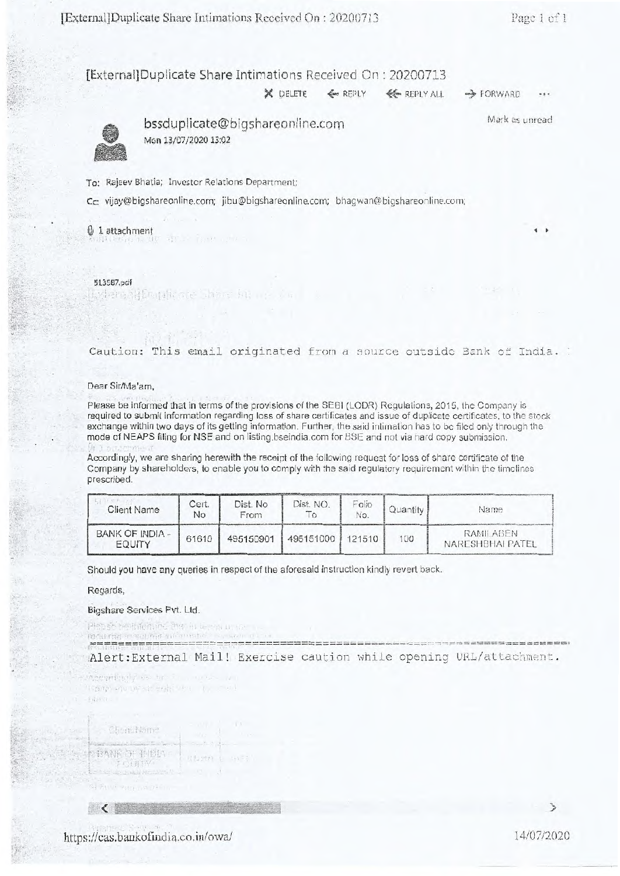### [External]Duplicate Share Intimations Received On : 20200713

 $X$  DELETE  $\leftarrow$  REPLY  $\leftarrow$  REPLY ALL  $\rightarrow$  FORWARD



bssduplicate@bigshareonIine.com Mon 13/07/2020 13:02

Mark as unread

To: Rajeev Bhatia; Investor Relations Department;

External Entitle are there in the

Cc: vijay@bigshareonline.com; jibu@bigshareonline.com; bhagwan@bigshareonline.com;

5 1 attachment **<sup>4</sup>**

513587.pdf

Caution: This email originated from a source outside Bank of India.

#### Dear Sir/Ma'am,

Please be informed that in terms of the provisions of the SEB1 (LODR) Regulations, 2015, the Company is required to submit information regarding loss of share certificates and issue of duplicate certificates, to the stock exchange within two days of its getting information. Further, the said intimation has to be filed only through the mode of NEAPS filing for NSE and on listing.bseindia.com for BSE and not via hard copy submission.

Accordingly, we are sharing herewith the receipt of the following request for loss of share certificate of the Company by shareholders, to enable you to comply with the said regulatory requirement within the timelines prescribed. iling fo<br>re sha<br>eholde

| ----------                |             |                  |           |              |          |                               |
|---------------------------|-------------|------------------|-----------|--------------|----------|-------------------------------|
| <b>Client Name</b>        | Cert.<br>No | Dist. No<br>From | Dist. NO. | Folio<br>No. | Quantity | Name                          |
| BANK OF INDIA -<br>EQUITY | 61610       | 495150901        | 495151000 | 121510       | 100      | RAMILABEN<br>NARESHBHAI PATEL |

Should you have any queries in respect of the aforesaid instruction kindly revert back.

Regards,

#### Bigshare Services Pvt. Ltd.

company to be

Pleaser healthen in then in home in the 

Bann en uv stræki ver ty me

Alert: External Mail! Exercise caution while opening URL/attachment.

Chemi Name 在外收口 不低的。 T . HTW